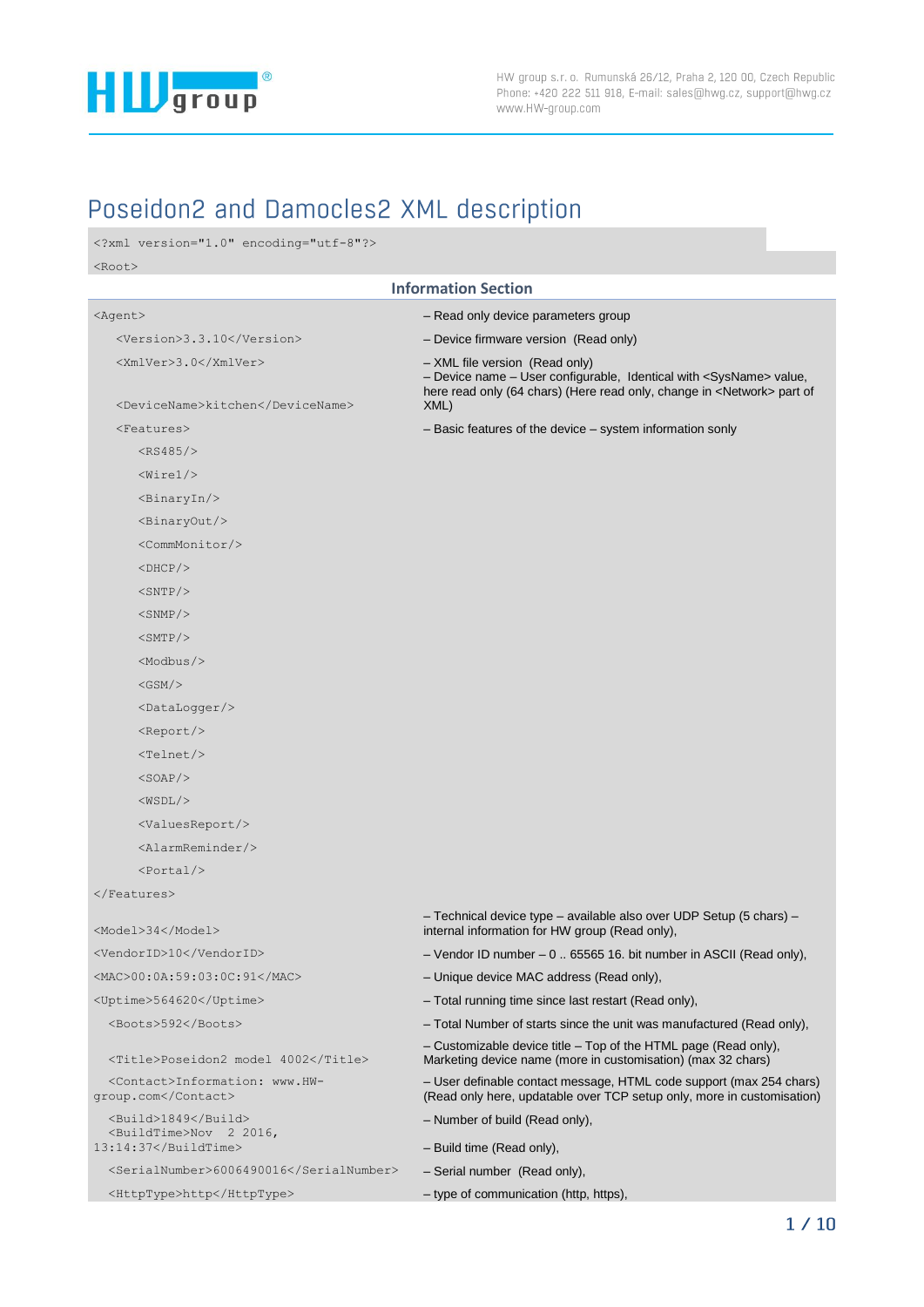

# Poseidon2 and Damocles2 XML description

```
<?xml version="1.0" encoding="utf-8"?>
<Root>
```

|                                                                                  | <b>Information Section</b>                                                                                                                                                                          |
|----------------------------------------------------------------------------------|-----------------------------------------------------------------------------------------------------------------------------------------------------------------------------------------------------|
| <agent></agent>                                                                  | - Read only device parameters group                                                                                                                                                                 |
| <version>3.3.10</version>                                                        | - Device firmware version (Read only)                                                                                                                                                               |
| <xmlver>3.0</xmlver>                                                             | - XML file version (Read only)<br>- Device name - User configurable, Identical with <sysname> value,<br/>here read only (64 chars) (Here read only, change in <network> part of</network></sysname> |
| <devicename>kitchen</devicename>                                                 | XML)                                                                                                                                                                                                |
| <features></features>                                                            | - Basic features of the device - system information sonly                                                                                                                                           |
| $<$ RS485/>                                                                      |                                                                                                                                                                                                     |
| $\langle \texttt{Wirel}\rangle$                                                  |                                                                                                                                                                                                     |
| $\langle \text{Binary} \rangle$                                                  |                                                                                                                                                                                                     |
| $\langle \text{BinaryOut}\rangle$                                                |                                                                                                                                                                                                     |
| <commmonitor></commmonitor>                                                      |                                                                                                                                                                                                     |
| $<$ DHCP $/$ >                                                                   |                                                                                                                                                                                                     |
| $<$ SNTP $/$ >                                                                   |                                                                                                                                                                                                     |
| $<$ SNMP $/$ >                                                                   |                                                                                                                                                                                                     |
| $<$ SMTP $/$ >                                                                   |                                                                                                                                                                                                     |
| $<$ Modbus/ $>$                                                                  |                                                                                                                                                                                                     |
| $<$ GSM $/$                                                                      |                                                                                                                                                                                                     |
| <datalogger></datalogger>                                                        |                                                                                                                                                                                                     |
| $<$ Report/>                                                                     |                                                                                                                                                                                                     |
| $Telnet/$                                                                        |                                                                                                                                                                                                     |
| $<$ SOAP $/$                                                                     |                                                                                                                                                                                                     |
| $<$ WSDL $/$                                                                     |                                                                                                                                                                                                     |
| <valuesreport></valuesreport>                                                    |                                                                                                                                                                                                     |
| $\langle$ AlarmReminder/>                                                        |                                                                                                                                                                                                     |
| $<$ Portal/>                                                                     |                                                                                                                                                                                                     |
| $\langle$ /Features>                                                             |                                                                                                                                                                                                     |
| <model>34</model>                                                                | - Technical device type - available also over UDP Setup (5 chars) -<br>internal information for HW group (Read only),                                                                               |
| <vendorid>10</vendorid>                                                          | $-$ Vendor ID number $-0$ 65565 16. bit number in ASCII (Read only),                                                                                                                                |
| <mac>00:0A:59:03:0C:91</mac>                                                     | - Unique device MAC address (Read only),                                                                                                                                                            |
| <uptime>564620</uptime>                                                          | - Total running time since last restart (Read only),                                                                                                                                                |
| <boots>592</boots>                                                               | - Total Number of starts since the unit was manufactured (Read only).                                                                                                                               |
| <title>Poseidon2 model 4002</title>                                              | - Customizable device title - Top of the HTML page (Read only),<br>Marketing device name (more in customisation) (max 32 chars)                                                                     |
| <contact>Information: www.HW-<br/>qroup.com</contact>                            | - User definable contact message, HTML code support (max 254 chars)<br>(Read only here, updatable over TCP setup only, more in customisation)                                                       |
| <build>1849</build>                                                              | - Number of build (Read only),                                                                                                                                                                      |
| <buildtime>Nov 2 2016,<br/><math>13:14:37 &lt; /</math>BuildTime&gt;</buildtime> | - Build time (Read only),                                                                                                                                                                           |
| <serialnumber>6006490016</serialnumber>                                          | - Serial number (Read only),                                                                                                                                                                        |
| <httptype>http</httptype>                                                        | - type of communication (http, https),                                                                                                                                                              |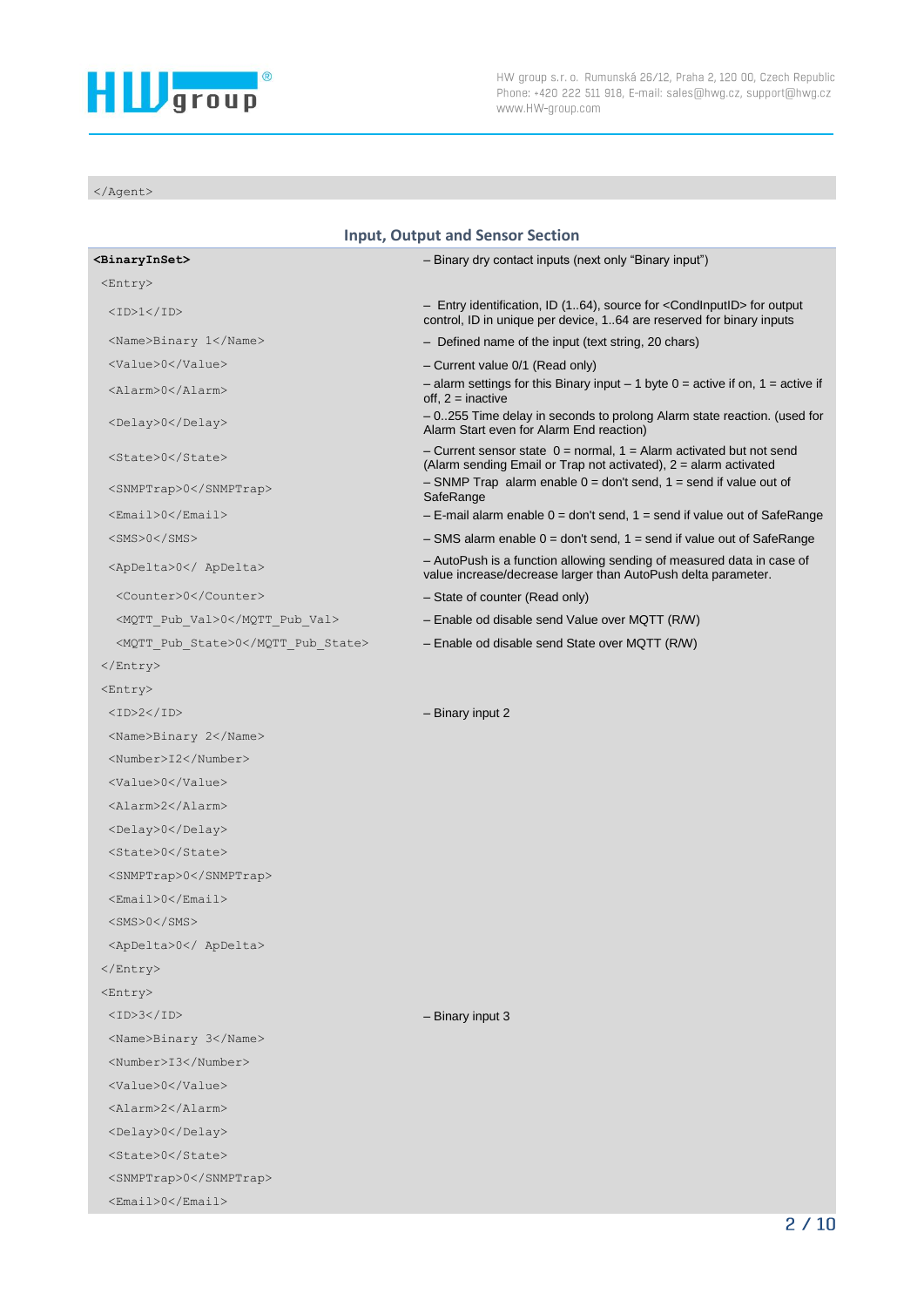

HW group s.r.o. Rumunská 26/12, Praha 2, 120 00, Czech Republic Phone: +420 222 511 918, E-mail: sales@hwg.cz, support@hwg.cz www.HW-group.com

</Agent>

| <b>Input, Output and Sensor Section</b> |                                                                                                                                                              |
|-----------------------------------------|--------------------------------------------------------------------------------------------------------------------------------------------------------------|
| <binaryinset></binaryinset>             | - Binary dry contact inputs (next only "Binary input")                                                                                                       |
| <entry></entry>                         |                                                                                                                                                              |
| $<$ ID>1 $<$ /ID>                       | - Entry identification, ID (164), source for <condinputid> for output<br/>control, ID in unique per device, 164 are reserved for binary inputs</condinputid> |
| <name>Binary 1</name>                   | - Defined name of the input (text string, 20 chars)                                                                                                          |
| <value>0</value>                        | - Current value 0/1 (Read only)                                                                                                                              |
| <alarm>0</alarm>                        | - alarm settings for this Binary input $-1$ byte $0 =$ active if on, $1 =$ active if<br>off, $2 =$ inactive                                                  |
| <delay>0</delay>                        | - 0255 Time delay in seconds to prolong Alarm state reaction. (used for<br>Alarm Start even for Alarm End reaction)                                          |
| <state>0</state>                        | - Current sensor state $0 =$ normal, $1 =$ Alarm activated but not send<br>(Alarm sending Email or Trap not activated), 2 = alarm activated                  |
| <snmptrap>0</snmptrap>                  | $-$ SNMP Trap alarm enable $0 =$ don't send, 1 = send if value out of<br>SafeRange                                                                           |
| <email>0</email>                        | $-$ E-mail alarm enable $0 =$ don't send, 1 = send if value out of SafeRange                                                                                 |
| <sms>0</sms>                            | $-$ SMS alarm enable $0 =$ don't send, 1 = send if value out of SafeRange                                                                                    |
| <apdelta>0</apdelta>                    | - AutoPush is a function allowing sending of measured data in case of<br>value increase/decrease larger than AutoPush delta parameter.                       |
| <counter>0</counter>                    | - State of counter (Read only)                                                                                                                               |
| <mqtt pub="" val="">0</mqtt>            | - Enable od disable send Value over MQTT (R/W)                                                                                                               |
| <mqtt pub="" state="">0</mqtt>          | - Enable od disable send State over MQTT (R/W)                                                                                                               |
|                                         |                                                                                                                                                              |
| <entry></entry>                         |                                                                                                                                                              |
| <id>2</id>                              | - Binary input 2                                                                                                                                             |
| <name>Binary 2</name>                   |                                                                                                                                                              |
| <number>I2</number>                     |                                                                                                                                                              |
| <value>0</value>                        |                                                                                                                                                              |
| <alarm>2</alarm>                        |                                                                                                                                                              |
| <delay>0</delay>                        |                                                                                                                                                              |
| <state>0</state>                        |                                                                                                                                                              |
| <snmptrap>0</snmptrap>                  |                                                                                                                                                              |
| <email>0</email>                        |                                                                                                                                                              |
| $<$ SMS>0                               |                                                                                                                                                              |
| <apdelta>0</apdelta>                    |                                                                                                                                                              |
| $\langle$ /Entry>                       |                                                                                                                                                              |
| <entry></entry>                         |                                                                                                                                                              |
| <id>3</id>                              | $-$ Binary input 3                                                                                                                                           |
| <name>Binary 3</name>                   |                                                                                                                                                              |
| <number>I3</number>                     |                                                                                                                                                              |
| <value>0</value>                        |                                                                                                                                                              |
| <alarm>2</alarm>                        |                                                                                                                                                              |
| <delay>0</delay>                        |                                                                                                                                                              |
| <state>0</state>                        |                                                                                                                                                              |
| <snmptrap>0</snmptrap>                  |                                                                                                                                                              |
| $<$ Email>0                             |                                                                                                                                                              |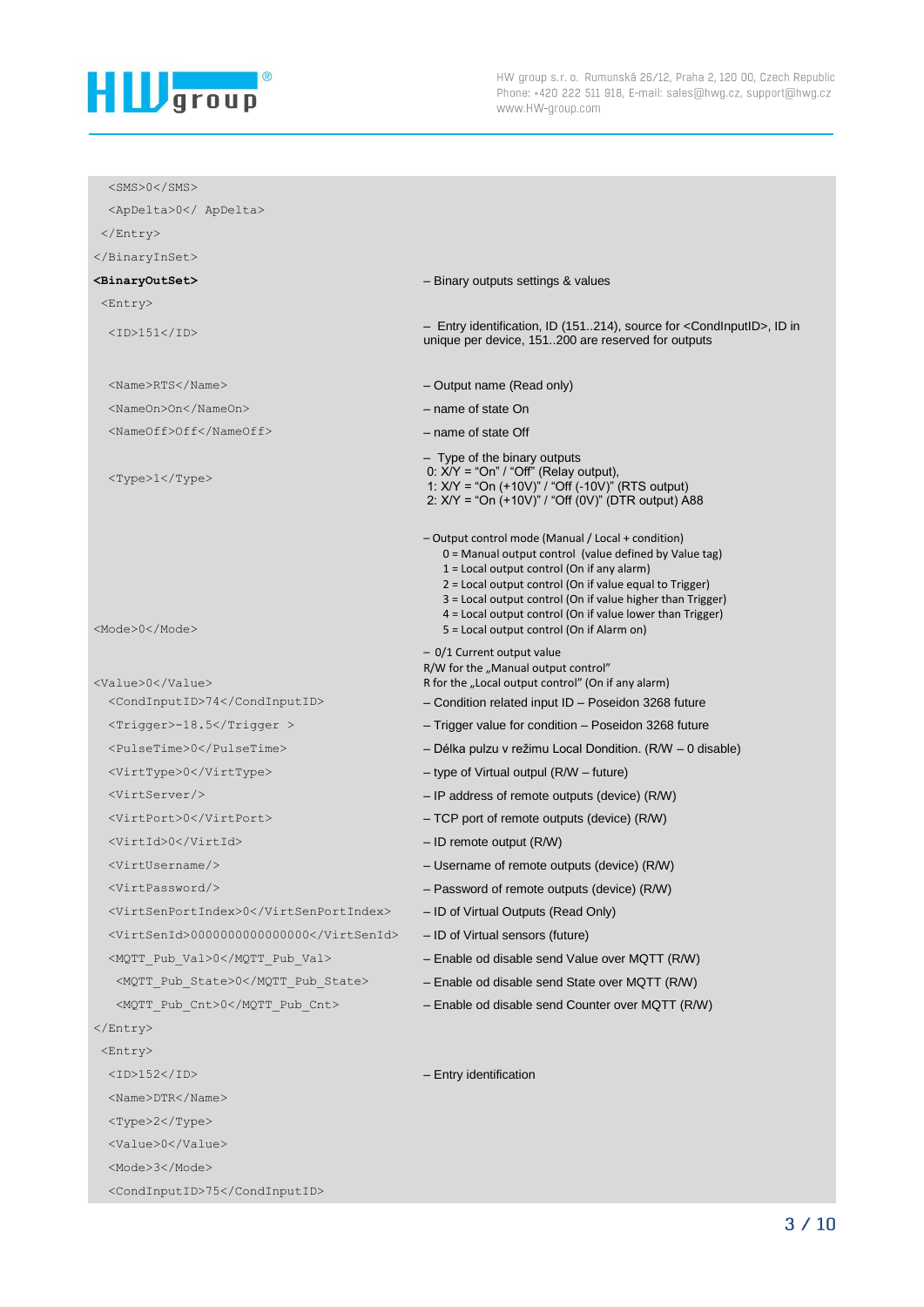

| <apdelta>0</apdelta><br>$\langle$ /Entry><br><br><binaryoutset><br/>- Binary outputs settings &amp; values<br/><entry><br/>- Entry identification, ID (151214), source for <condinputid>, ID in<br/><math>&lt;</math>ID&gt;151<br/>unique per device, 151200 are reserved for outputs<br/><name>RTS</name><br/>- Output name (Read only)</condinputid></entry></binaryoutset>                                   |
|-----------------------------------------------------------------------------------------------------------------------------------------------------------------------------------------------------------------------------------------------------------------------------------------------------------------------------------------------------------------------------------------------------------------|
|                                                                                                                                                                                                                                                                                                                                                                                                                 |
|                                                                                                                                                                                                                                                                                                                                                                                                                 |
|                                                                                                                                                                                                                                                                                                                                                                                                                 |
|                                                                                                                                                                                                                                                                                                                                                                                                                 |
|                                                                                                                                                                                                                                                                                                                                                                                                                 |
|                                                                                                                                                                                                                                                                                                                                                                                                                 |
|                                                                                                                                                                                                                                                                                                                                                                                                                 |
| - name of state On<br><nameon>On</nameon>                                                                                                                                                                                                                                                                                                                                                                       |
| <nameoff>Off</nameoff><br>- name of state Off                                                                                                                                                                                                                                                                                                                                                                   |
| - Type of the binary outputs<br>0: $X/Y = "On" / "Off"$ (Relay output),<br><type>1</type><br>1: X/Y = "On (+10V)" / "Off (-10V)" (RTS output)<br>2: X/Y = "On (+10V)" / "Off (0V)" (DTR output) A88                                                                                                                                                                                                             |
| - Output control mode (Manual / Local + condition)<br>0 = Manual output control (value defined by Value tag)<br>1 = Local output control (On if any alarm)<br>2 = Local output control (On if value equal to Trigger)<br>3 = Local output control (On if value higher than Trigger)<br>4 = Local output control (On if value lower than Trigger)<br>5 = Local output control (On if Alarm on)<br><mode>0</mode> |
| - 0/1 Current output value<br>R/W for the "Manual output control"<br><value>0</value><br>R for the "Local output control" (On if any alarm)                                                                                                                                                                                                                                                                     |
| <condinputid>74</condinputid><br>- Condition related input ID - Poseidon 3268 future                                                                                                                                                                                                                                                                                                                            |
| <trigger>-18.5</trigger><br>- Trigger value for condition - Poseidon 3268 future                                                                                                                                                                                                                                                                                                                                |
| <pulsetime>0</pulsetime><br>- Délka pulzu v režimu Local Dondition. (R/W - 0 disable)                                                                                                                                                                                                                                                                                                                           |
| <virttype>0</virttype><br>- type of Virtual outpul (R/W - future)                                                                                                                                                                                                                                                                                                                                               |
| <virtserver></virtserver><br>$-$ IP address of remote outputs (device) (R/W)                                                                                                                                                                                                                                                                                                                                    |
| <virtport>0</virtport><br>- TCP port of remote outputs (device) (R/W)                                                                                                                                                                                                                                                                                                                                           |
| <virtid>0</virtid><br>$-$ ID remote output (R/W)                                                                                                                                                                                                                                                                                                                                                                |
| <virtusername></virtusername><br>- Username of remote outputs (device) (R/W)                                                                                                                                                                                                                                                                                                                                    |
| <virtpassword></virtpassword><br>- Password of remote outputs (device) (R/W)                                                                                                                                                                                                                                                                                                                                    |
| <virtsenportindex>0</virtsenportindex><br>- ID of Virtual Outputs (Read Only)                                                                                                                                                                                                                                                                                                                                   |
| <virtsenid>000000000000000</virtsenid><br>- ID of Virtual sensors (future)                                                                                                                                                                                                                                                                                                                                      |
| - Enable od disable send Value over MQTT (R/W)<br><mqtt pub="" val="">0</mqtt>                                                                                                                                                                                                                                                                                                                                  |
| <mqtt pub="" state="">0</mqtt><br>- Enable od disable send State over MQTT (R/W)                                                                                                                                                                                                                                                                                                                                |
| <mqtt_pub_cnt>0<br/>- Enable od disable send Counter over MQTT (R/W)</mqtt_pub_cnt>                                                                                                                                                                                                                                                                                                                             |
|                                                                                                                                                                                                                                                                                                                                                                                                                 |
| <entry></entry>                                                                                                                                                                                                                                                                                                                                                                                                 |
| <id>152</id><br>- Entry identification                                                                                                                                                                                                                                                                                                                                                                          |
| <name>DTR</name>                                                                                                                                                                                                                                                                                                                                                                                                |
| <type>2</type>                                                                                                                                                                                                                                                                                                                                                                                                  |
| <value>0</value>                                                                                                                                                                                                                                                                                                                                                                                                |
| <mode>3</mode>                                                                                                                                                                                                                                                                                                                                                                                                  |
| <condinputid>75</condinputid>                                                                                                                                                                                                                                                                                                                                                                                   |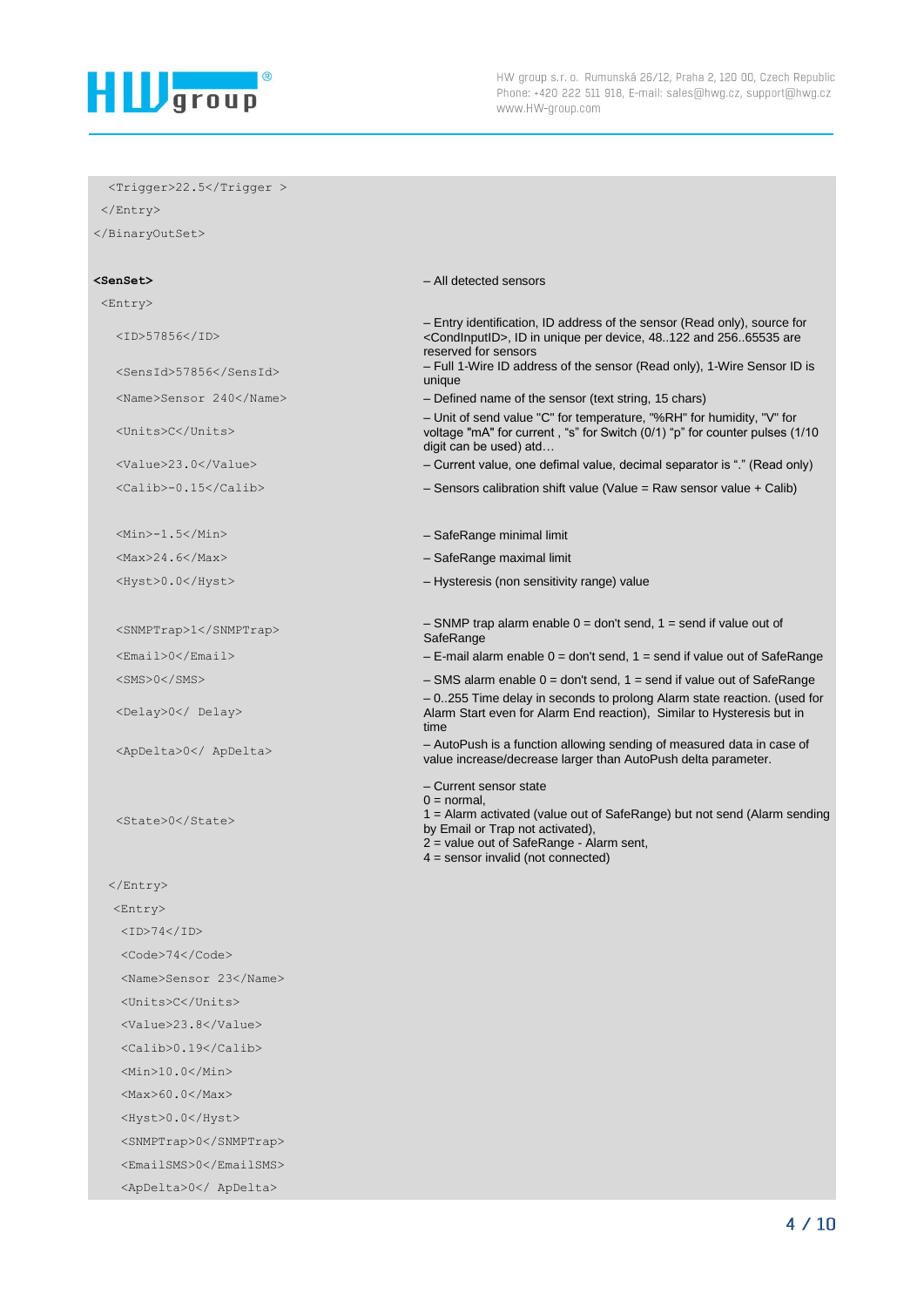

 <Trigger>22.5</Trigger > </Entry> </BinaryOutSet> **<SenSet>** – All detected sensors <Entry> <ID>57856</ID> – Entry identification, ID address of the sensor (Read only), source for <CondInputID>, ID in unique per device, 48..122 and 256..65535 are reserved for sensors <SensId>57856</SensId> – Full 1-Wire ID address of the sensor (Read only), 1-Wire Sensor ID is unique <Name>Sensor 240</Name> – Defined name of the sensor (text string, 15 chars) <Units>C</Units> – Unit of send value "C" for temperature, "%RH" for humidity, "V" for voltage "mA" for current , "s" for Switch (0/1) "p" for counter pulses (1/10 digit can be used) atd… <Value>23.0</Value> – Current value, one defimal value, decimal separator is "." (Read only) <Calib>-0.15</Calib> – Sensors calibration shift value (Value = Raw sensor value + Calib) <Min>-1.5</Min>  $-$  SafeRange minimal limit <Max>24.6</Max> – SafeRange maximal limit <Hyst>0.0</Hyst> – Hysteresis (non sensitivity range) value <SNMPTrap>1</SNMPTrap> – SNMP trap alarm enable 0 = don't send, 1 = send if value out of **SafeRange**  <Email>0</Email> – E-mail alarm enable 0 = don't send, 1 = send if value out of SafeRange <SMS>0</SMS> – SMS alarm enable 0 = don't send, 1 = send if value out of SafeRange <Delay>0</ Delay> – 0..255 Time delay in seconds to prolong Alarm state reaction. (used for Alarm Start even for Alarm End reaction), Similar to Hysteresis but in time <ApDelta>0</ ApDelta> – AutoPush is a function allowing sending of measured data in case of value increase/decrease larger than AutoPush delta parameter. <State>0</State> – Current sensor state  $0 = normal$ , 1 = Alarm activated (value out of SafeRange) but not send (Alarm sending by Email or Trap not activated), 2 = value out of SafeRange - Alarm sent, 4 = sensor invalid (not connected) </Entry> <Entry>  $<$ ID>74 $<$ /ID> <Code>74</Code> <Name>Sensor 23</Name> <Units>C</Units> <Value>23.8</Value>  $\langle$ Calib $>0.19<$ /Calib $>$  <Min>10.0</Min> <Max>60.0</Max> <Hyst>0.0</Hyst> <SNMPTrap>0</SNMPTrap> <EmailSMS>0</EmailSMS> <ApDelta>0</ ApDelta>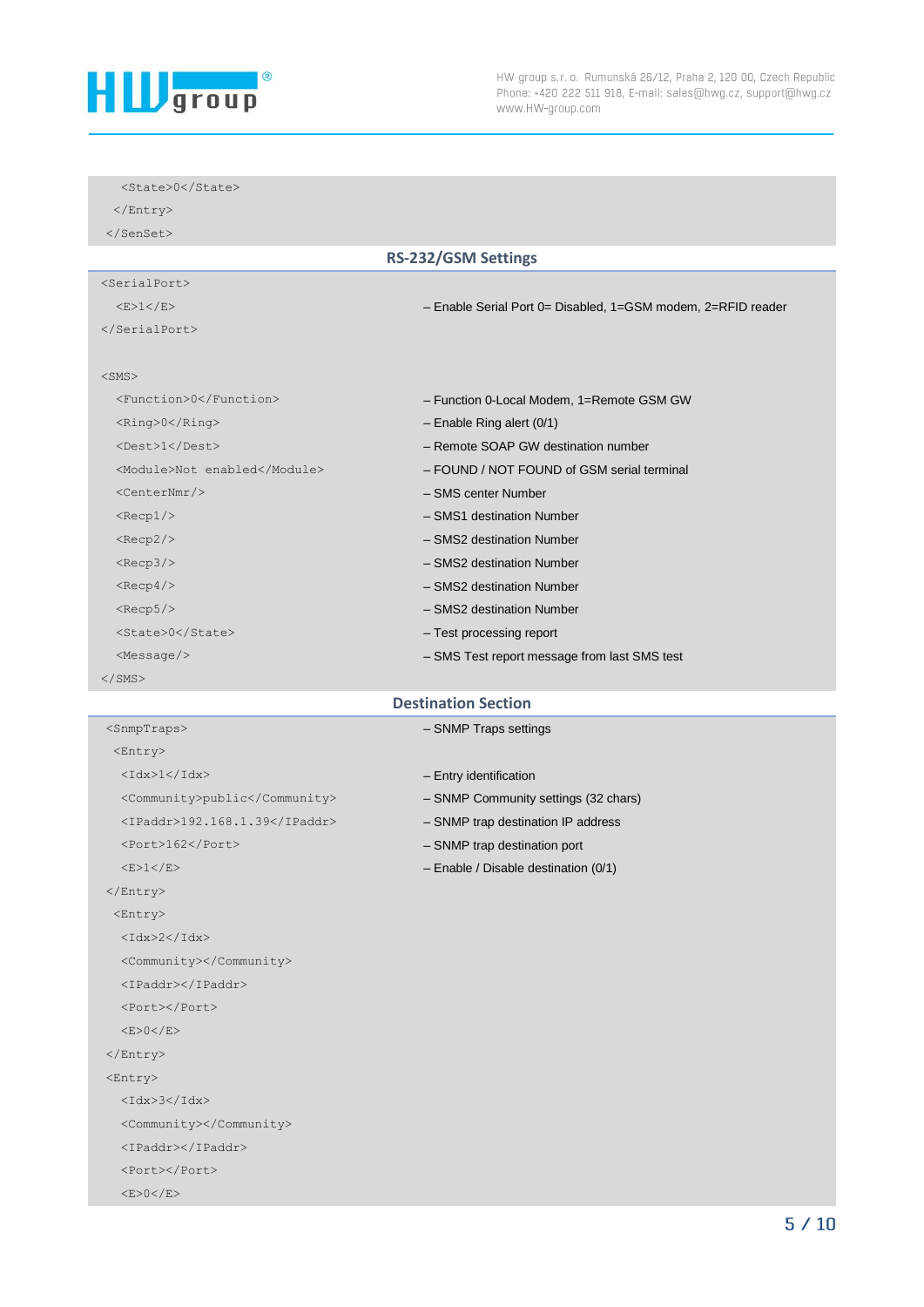

<State>0</State>

| $\langle$ Entry>             |                                                              |
|------------------------------|--------------------------------------------------------------|
| $\langle$ /SenSet>           |                                                              |
|                              | <b>RS-232/GSM Settings</b>                                   |
| $<$ SerialPort>              |                                                              |
| $<$ E $>1$ $<$ /E $>$        | - Enable Serial Port 0= Disabled, 1=GSM modem, 2=RFID reader |
|                              |                                                              |
|                              |                                                              |
| $<$ SMS $>$                  |                                                              |
| <function>0</function>       | - Function 0-Local Modem, 1=Remote GSM GW                    |
| <ring>0</ring>               | $-$ Enable Ring alert (0/1)                                  |
| <dest>1</dest>               | - Remote SOAP GW destination number                          |
| <module>Not enabled</module> | - FOUND / NOT FOUND of GSM serial terminal                   |
| $<$ CenterNmr $/$ >          | - SMS center Number                                          |
| $<$ Recp $1/$                | - SMS1 destination Number                                    |
| $<$ Recp2/>                  | - SMS2 destination Number                                    |
| $<$ Recp3/>                  | - SMS2 destination Number                                    |
| $<$ Recp4/>                  | - SMS2 destination Number                                    |
| $<$ Recp5/ $>$               | - SMS2 destination Number                                    |
| <state>0</state>             | - Test processing report                                     |
| $<$ Message/>                | - SMS Test report message from last SMS test                 |
| $\langle$ /SMS $\rangle$     |                                                              |

## **Destination Section**

| <entry></entry>               |  |
|-------------------------------|--|
| <idx>1</idx>                  |  |
| <community>public</community> |  |
| <ipaddr>192.168.1.39</ipaddr> |  |
| <port>162</port>              |  |
| <e>1</e>                      |  |
|                               |  |
| <entry></entry>               |  |
| $<$ Tdx>2 $<$ /Tdx>           |  |
| <community></community>       |  |
| <ipaddr></ipaddr>             |  |
| <port></port>                 |  |
| <e>0</e>                      |  |
|                               |  |
| <entry></entry>               |  |
| $<$ Idx>3 $<$ /Idx>           |  |
| <community></community>       |  |
| <ipaddr></ipaddr>             |  |

 <Port></Port>  $<$ E $>$ 0 $<$ /E $>$ 

<SnmpTraps> – SNMP Traps settings

```
- Entry identification
```
- SNMP Community settings (32 chars)
- SNMP trap destination IP address
- SNMP trap destination port
- Enable / Disable destination (0/1)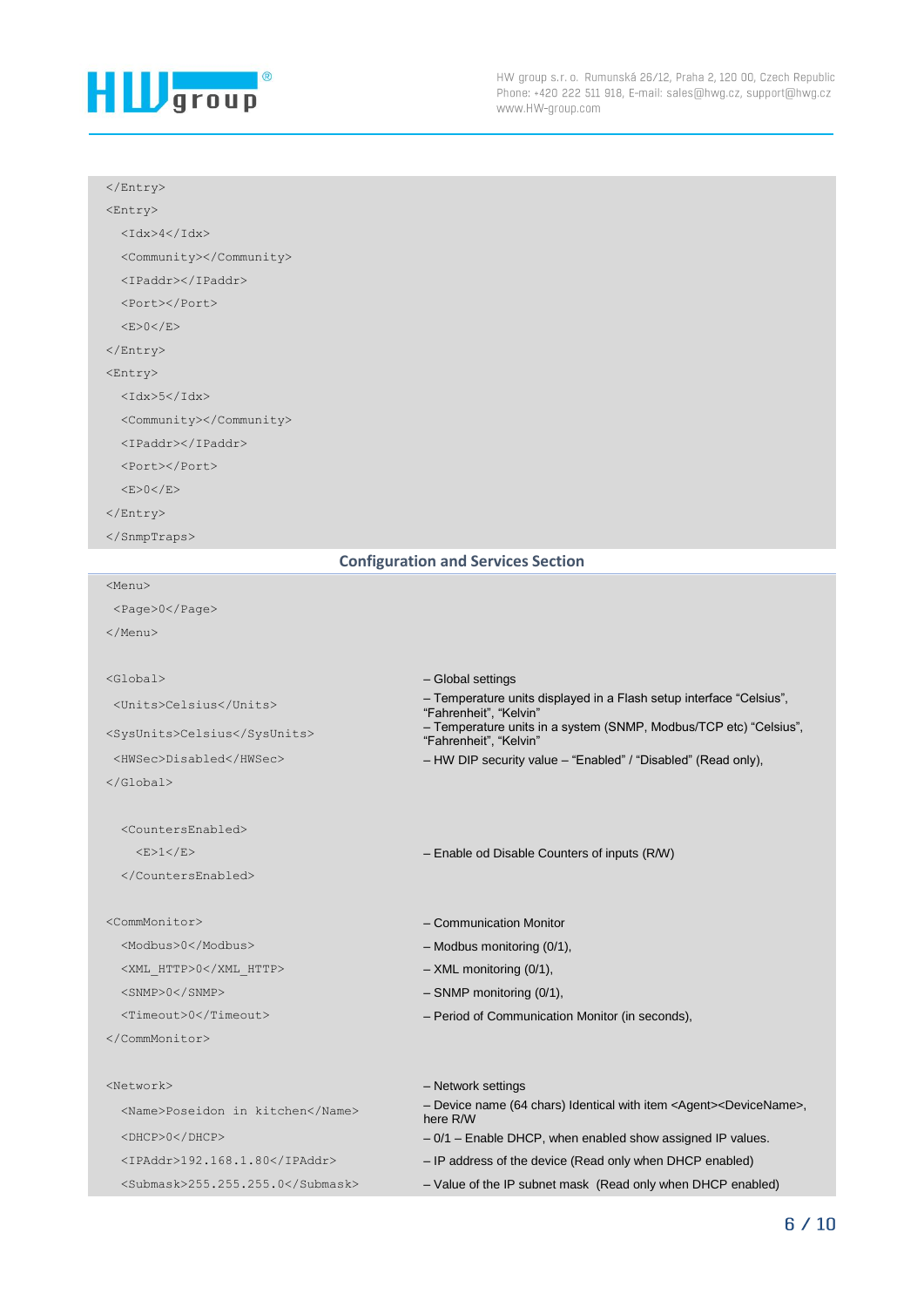

### </Entry>

<Entry>

 $<$ Idx>4 $<$ /Idx>

<Community></Community>

<IPaddr></IPaddr>

<Port></Port>

 $<$ E>0</E>

</Entry>

<Entry>

 $<$ Idx>5 $<$ /Idx>

<Community></Community>

<IPaddr></IPaddr>

<Port></Port>

 $<$ E $>0$  $<$ /E $>$ 

</Entry>

<Menu>

</SnmpTraps>

#### **Configuration and Services Section**

"Fahrenheit", "Kelvin"

"Fahrenheit", "Kelvin"

<Page>0</Page> </Menu>

<Global> – Global settings <Units>Celsius</Units> – Temperature units displayed in a Flash setup interface "Celsius", <SysUnits>Celsius</SysUnits> – Temperature units in a system (SNMP, Modbus/TCP etc) "Celsius", <HWSec>Disabled</HWSec> – HW DIP security value – "Enabled" / "Disabled" (Read only), </Global>

 <CountersEnabled> <E>1</E> – Enable od Disable Counters of inputs (R/W)

</CountersEnabled>

#### <CommMonitor>  $\sim$ CommMonitor>  $\sim$ Communication Monitor

<Modbus>0</Modbus> – Modbus monitoring (0/1),

<XML HTTP>0</XML HTTP> – XML monitoring (0/1),

<SNMP>0</SNMP> – SNMP monitoring (0/1),

<Timeout>0</Timeout> – Period of Communication Monitor (in seconds),

</CommMonitor>

# <Network> – Network settings <Name>Poseidon in kitchen</Name> – Device name (64 chars) Identical with item <Agent><DeviceName>, here R/W <DHCP>0</DHCP> – 0/1 – Enable DHCP, when enabled show assigned IP values. <IPAddr>192.168.1.80</IPAddr> – IP address of the device (Read only when DHCP enabled) <Submask>255.255.255.0</Submask> – Value of the IP subnet mask (Read only when DHCP enabled)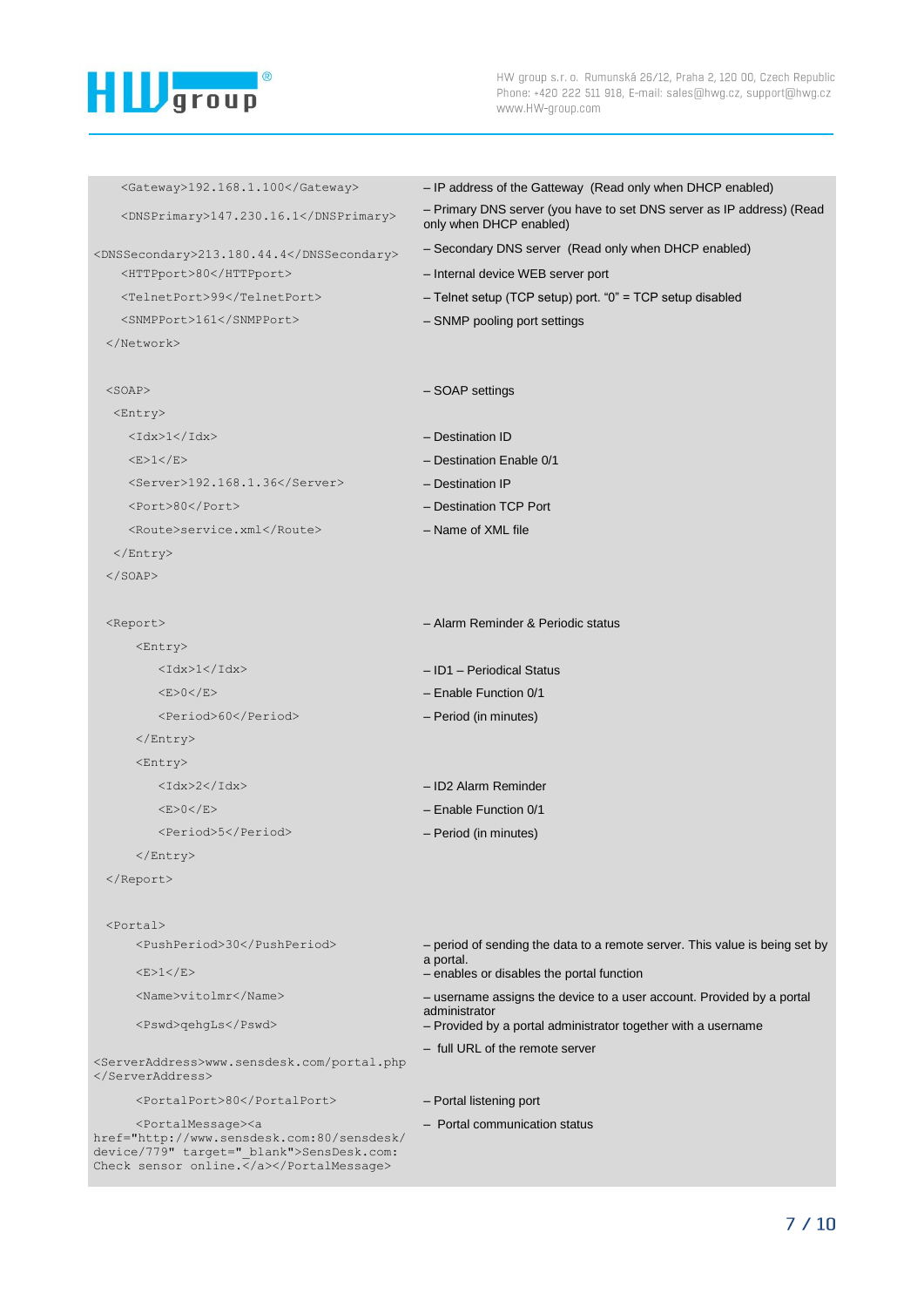

| $<$ Gateway>192.168.1.100                                                                                                                                        | - IP address of the Gatteway (Read only when DHCP enabled)                                       |
|------------------------------------------------------------------------------------------------------------------------------------------------------------------|--------------------------------------------------------------------------------------------------|
| <dnsprimary>147.230.16.1</dnsprimary>                                                                                                                            | - Primary DNS server (you have to set DNS server as IP address) (Read<br>only when DHCP enabled) |
| <dnssecondary>213.180.44.4</dnssecondary>                                                                                                                        | - Secondary DNS server (Read only when DHCP enabled)                                             |
| <httpport>80</httpport>                                                                                                                                          | - Internal device WEB server port                                                                |
| <telnetport>99</telnetport>                                                                                                                                      | - Telnet setup (TCP setup) port. "0" = TCP setup disabled                                        |
| <snmpport>161</snmpport>                                                                                                                                         | - SNMP pooling port settings                                                                     |
|                                                                                                                                                                  |                                                                                                  |
|                                                                                                                                                                  |                                                                                                  |
| $<$ SOAP $>$                                                                                                                                                     | - SOAP settings                                                                                  |
| <entry></entry>                                                                                                                                                  |                                                                                                  |
| $<$ Idx> $1$ < $/$ Idx>                                                                                                                                          | - Destination ID                                                                                 |
| <e>1</e>                                                                                                                                                         | - Destination Enable 0/1                                                                         |
| $<$ Server>192.168.1.36 $<$ /Server>                                                                                                                             | - Destination IP                                                                                 |
| <port>80</port>                                                                                                                                                  | - Destination TCP Port                                                                           |
| <route>service.xml</route>                                                                                                                                       | - Name of XML file                                                                               |
| $\langle$ Entry>                                                                                                                                                 |                                                                                                  |
| $\langle$ /SOAP>                                                                                                                                                 |                                                                                                  |
| <report></report>                                                                                                                                                | - Alarm Reminder & Periodic status                                                               |
| <entry></entry>                                                                                                                                                  |                                                                                                  |
| $<$ Idx> $1$ < $/$ Idx>                                                                                                                                          | - ID1 - Periodical Status                                                                        |
| <e>0</e>                                                                                                                                                         | $-$ Enable Function 0/1                                                                          |
| <period>60</period>                                                                                                                                              | - Period (in minutes)                                                                            |
| $\langle$ /Entry>                                                                                                                                                |                                                                                                  |
| <entry></entry>                                                                                                                                                  |                                                                                                  |
| $<$ Idx>2 $<$ /Idx>                                                                                                                                              | - ID2 Alarm Reminder                                                                             |
| <e>0</e>                                                                                                                                                         | - Enable Function 0/1                                                                            |
| <period>5</period>                                                                                                                                               | - Period (in minutes)                                                                            |
|                                                                                                                                                                  |                                                                                                  |
|                                                                                                                                                                  |                                                                                                  |
|                                                                                                                                                                  |                                                                                                  |
| $<$ Portal>                                                                                                                                                      |                                                                                                  |
| <pushperiod>30</pushperiod>                                                                                                                                      | - period of sending the data to a remote server. This value is being set by<br>a portal.         |
| <e>1</e>                                                                                                                                                         | - enables or disables the portal function                                                        |
| <name>vitolmr</name>                                                                                                                                             | - username assigns the device to a user account. Provided by a portal<br>administrator           |
| <pswd>qehgLs</pswd>                                                                                                                                              | - Provided by a portal administrator together with a username                                    |
| <serveraddress>www.sensdesk.com/portal.php</serveraddress>                                                                                                       | - full URL of the remote server                                                                  |
|                                                                                                                                                                  |                                                                                                  |
| <portalport>80</portalport>                                                                                                                                      | - Portal listening port                                                                          |
| <portalmessage><a<br>href="http://www.sensdesk.com:80/sensdesk/<br/>device/779" target=" blank"&gt;SensDesk.com:<br/>Check sensor online.</a<br></portalmessage> | - Portal communication status                                                                    |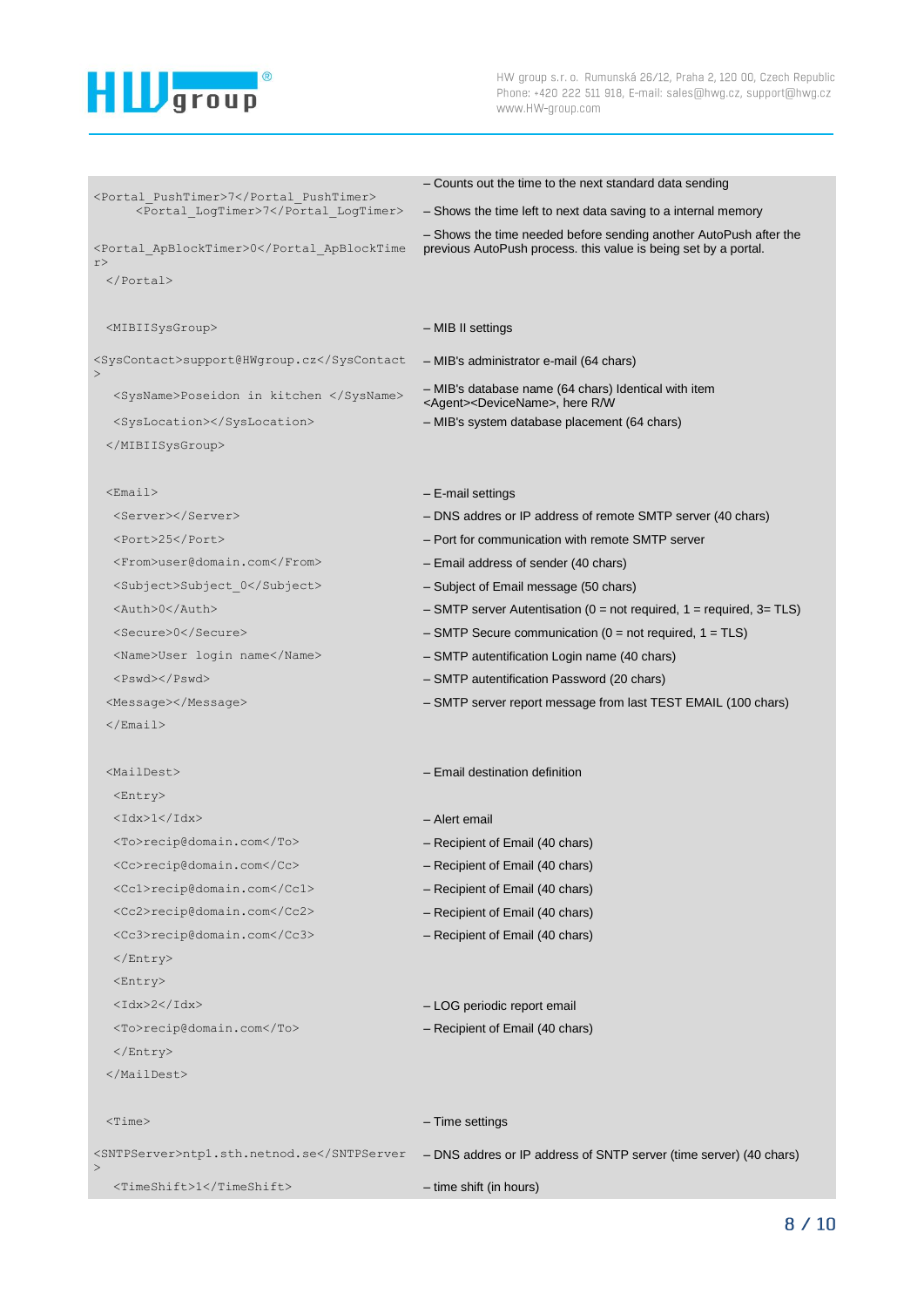

```
<Portal_PushTimer>7</Portal_PushTimer>
                                         – Counts out the time to the next standard data sending
      <Portal_LogTimer>7</Portal_LogTimer> – Shows the time left to next data saving to a internal memory
<Portal_ApBlockTimer>0</Portal_ApBlockTime
r> 
                                         – Shows the time needed before sending another AutoPush after the 
                                         previous AutoPush process. this value is being set by a portal.
 </Portal>
 <MIBIISysGroup> – MIB II settings 
<SysContact>support@HWgroup.cz</SysContact
– MIB's administrator e-mail (64 chars)
>
  <SysName>Poseidon in kitchen </SysName> – MIB's database name (64 chars) Identical with item 
                                         <Agent><DeviceName>, here R/W
  <SysLocation></SysLocation> – MIB's system database placement (64 chars)
 </MIBIISysGroup>
 <Email> – E-mail settings
  <Server></Server> – DNS addres or IP address of remote SMTP server (40 chars)
  <Port>25</Port> – Port for communication with remote SMTP server
  <From>user@domain.com</From> – Email address of sender (40 chars)
  <Subject>Subject_0</Subject> – Subject of Email message (50 chars)
  <Auth>0</Auth> – SMTP server Autentisation (0 = not required, 1 = required, 3= TLS)
  <Secure>0</Secure> – SMTP Secure communication (0 = not required, 1 = TLS)
  <Name>User login name</Name> – SMTP autentification Login name (40 chars)
  <Pswd></Pswd></Pswd></Pswd></Pswd></Pswd></Pswd></Pswd></Pswd></Pswd></Pswd></Pswd
 <Message></Message> – SMTP server report message from last TEST EMAIL (100 chars)
 \langle/Email>
 <MailDest> – Email destination definition 
  <Entry>
  <Idx>1</Idx> – Alert email
  <To>recip@domain.com</To> – Recipient of Email (40 chars)
  <Cc>recip@domain.com</Cc> – Recipient of Email (40 chars)
  <Cc1>recip@domain.com</Cc1> – Recipient of Email (40 chars)
  <Cc2>recip@domain.com</Cc2> – Recipient of Email (40 chars)
  <Cc3>recip@domain.com</Cc3> – Recipient of Email (40 chars)
  </Entry>
  <Entry>
  <Idx>2</Idx> – LOG periodic report email
  <To>recip@domain.com</To> – Recipient of Email (40 chars)
  </Entry>
 </MailDest>
 <Time> – Time settings
<SNTPServer>ntp1.sth.netnod.se</SNTPServer - DNS addres or IP address of SNTP server (time server) (40 chars)
>
  <TimeShift>1</TimeShift> – time shift (in hours)
```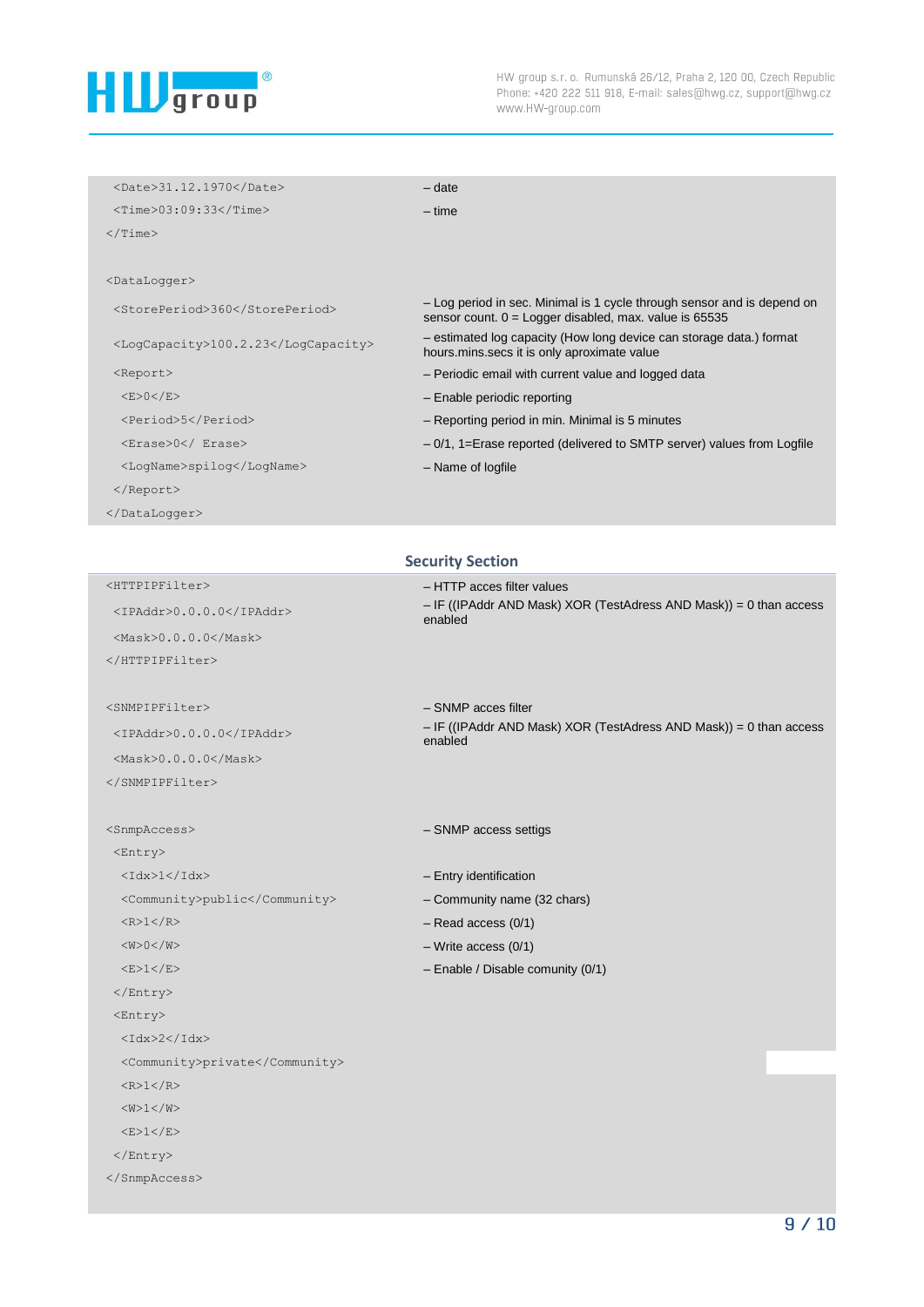

| <date>31.12.1970</date>             | $-$ date                                                                                                                            |
|-------------------------------------|-------------------------------------------------------------------------------------------------------------------------------------|
| <time>03:09:33</time>               | $-$ time                                                                                                                            |
| $\langle$ /Time>                    |                                                                                                                                     |
|                                     |                                                                                                                                     |
| <datalogger></datalogger>           |                                                                                                                                     |
| <storeperiod>360</storeperiod>      | - Log period in sec. Minimal is 1 cycle through sensor and is depend on<br>sensor count. $0 =$ Logger disabled, max. value is 65535 |
| <logcapacity>100.2.23</logcapacity> | - estimated log capacity (How long device can storage data.) format<br>hours.mins.secs it is only aproximate value                  |
| <report></report>                   | - Periodic email with current value and logged data                                                                                 |
| <e>0</e>                            | - Enable periodic reporting                                                                                                         |
| <period>5</period>                  | - Reporting period in min. Minimal is 5 minutes                                                                                     |
| <erase>0</erase>                    | - 0/1, 1=Erase reported (delivered to SMTP server) values from Logfile                                                              |
| <loqname>spiloq</loqname>           | - Name of logfile                                                                                                                   |
|                                     |                                                                                                                                     |
|                                     |                                                                                                                                     |
|                                     |                                                                                                                                     |
|                                     | <b>Security Section</b>                                                                                                             |
| <httptpfilter></httptpfilter>       | - HTTP acces filter values                                                                                                          |
| <ipaddr>0.0.0.0</ipaddr>            | - IF ((IPAddr AND Mask) XOR (TestAdress AND Mask)) = 0 than access<br>enabled                                                       |
| $<$ Mask>0.0.0.0                    |                                                                                                                                     |
|                                     |                                                                                                                                     |
|                                     |                                                                                                                                     |
| <snmpipfilter></snmpipfilter>       | - SNMP acces filter                                                                                                                 |
| <ipaddr>0.0.0.0</ipaddr>            | - IF ((IPAddr AND Mask) XOR (TestAdress AND Mask)) = 0 than access<br>enabled                                                       |
| <mask>0.0.0.0</mask>                |                                                                                                                                     |

</SNMPIPFilter>

```
<SnmpAccess> – SNMP access settigs
```
<Entry> <Idx>1</Idx> – Entry identification

 <Community>public</Community> – Community name (32 chars)  $\langle R>1 \langle R \rangle$  – Read access (0/1)

- $\langle W>0 \rangle$  Write access (0/1)
- <E>1</E> Enable / Disable comunity (0/1)
- </Entry>
- <Entry>
- $<$ Idx>2 $<$ /Idx>

```
 <Community>private</Community>
```
- $<$ R>1 $<$ /R>
- $<\!\!\mathrm{W}\!\!>\!\!1\!<\!\!/\mathrm{W}\!\!>$
- $<$ E>1 $<$ /E>

```
</Entry>
```
</SnmpAccess>

```
9/10
```